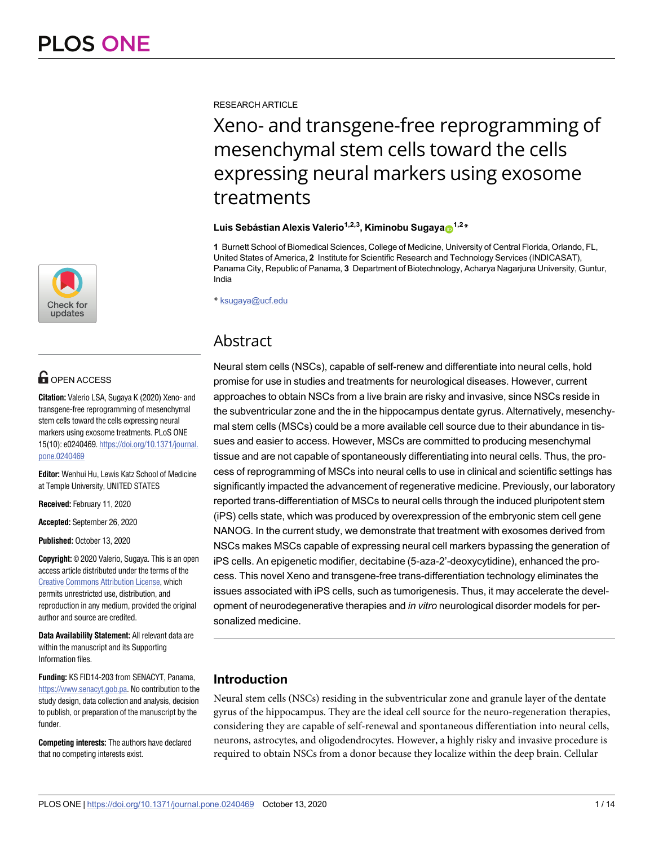

# **OPEN ACCESS**

**Citation:** Valerio LSA, Sugaya K (2020) Xeno- and transgene-free reprogramming of mesenchymal stem cells toward the cells expressing neural markers using exosome treatments. PLoS ONE 15(10): e0240469. [https://doi.org/10.1371/journal.](https://doi.org/10.1371/journal.pone.0240469) [pone.0240469](https://doi.org/10.1371/journal.pone.0240469)

**Editor:** Wenhui Hu, Lewis Katz School of Medicine at Temple University, UNITED STATES

**Received:** February 11, 2020

**Accepted:** September 26, 2020

**Published:** October 13, 2020

**Copyright:** © 2020 Valerio, Sugaya. This is an open access article distributed under the terms of the [Creative Commons Attribution License,](http://creativecommons.org/licenses/by/4.0/) which permits unrestricted use, distribution, and reproduction in any medium, provided the original author and source are credited.

**Data Availability Statement:** All relevant data are within the manuscript and its Supporting Information files.

**Funding:** KS FID14-203 from SENACYT, Panama, [https://www.senacyt.gob.pa.](https://www.senacyt.gob.pa) No contribution to the study design, data collection and analysis, decision to publish, or preparation of the manuscript by the funder.

**Competing interests:** The authors have declared that no competing interests exist.

RESEARCH ARTICLE

Xeno- and transgene-free reprogramming of mesenchymal stem cells toward the cells expressing neural markers using exosome treatments

## Luis Sebástian Alexis Valerio<sup>1,2,3</sup>, Kiminobu Sugaya<sup>1,2</sup>\*

**1** Burnett School of Biomedical Sciences, College of Medicine, University of Central Florida, Orlando, FL, United States of America, **2** Institute for Scientific Research and Technology Services (INDICASAT), Panama City, Republic of Panama, **3** Department of Biotechnology, Acharya Nagarjuna University, Guntur, India

\* ksugaya@ucf.edu

## Abstract

Neural stem cells (NSCs), capable of self-renew and differentiate into neural cells, hold promise for use in studies and treatments for neurological diseases. However, current approaches to obtain NSCs from a live brain are risky and invasive, since NSCs reside in the subventricular zone and the in the hippocampus dentate gyrus. Alternatively, mesenchymal stem cells (MSCs) could be a more available cell source due to their abundance in tissues and easier to access. However, MSCs are committed to producing mesenchymal tissue and are not capable of spontaneously differentiating into neural cells. Thus, the process of reprogramming of MSCs into neural cells to use in clinical and scientific settings has significantly impacted the advancement of regenerative medicine. Previously, our laboratory reported trans-differentiation of MSCs to neural cells through the induced pluripotent stem (iPS) cells state, which was produced by overexpression of the embryonic stem cell gene NANOG. In the current study, we demonstrate that treatment with exosomes derived from NSCs makes MSCs capable of expressing neural cell markers bypassing the generation of iPS cells. An epigenetic modifier, decitabine (5-aza-2'-deoxycytidine), enhanced the process. This novel Xeno and transgene-free trans-differentiation technology eliminates the issues associated with iPS cells, such as tumorigenesis. Thus, it may accelerate the development of neurodegenerative therapies and *in vitro* neurological disorder models for personalized medicine.

## **Introduction**

Neural stem cells (NSCs) residing in the subventricular zone and granule layer of the dentate gyrus of the hippocampus. They are the ideal cell source for the neuro-regeneration therapies, considering they are capable of self-renewal and spontaneous differentiation into neural cells, neurons, astrocytes, and oligodendrocytes. However, a highly risky and invasive procedure is required to obtain NSCs from a donor because they localize within the deep brain. Cellular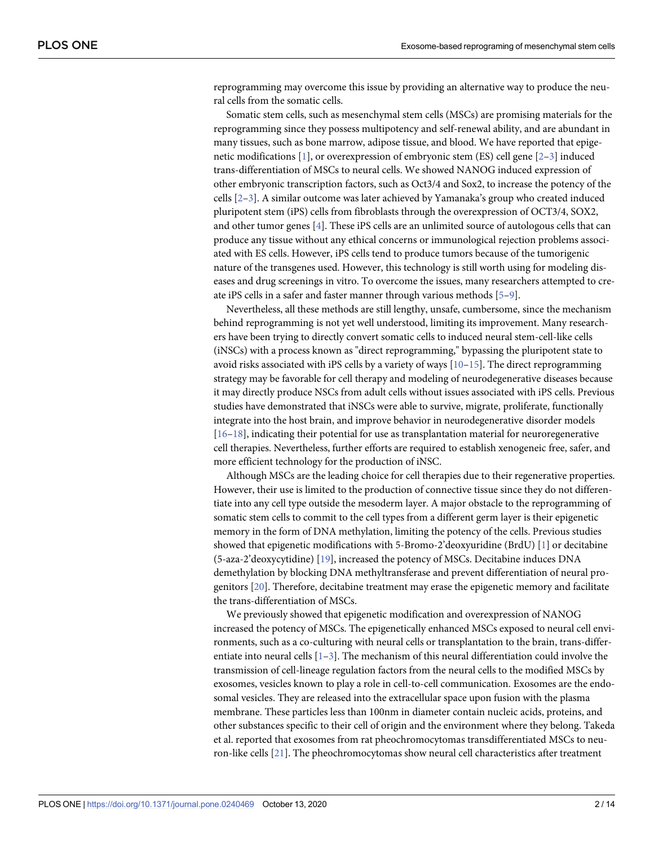<span id="page-1-0"></span>reprogramming may overcome this issue by providing an alternative way to produce the neural cells from the somatic cells.

Somatic stem cells, such as mesenchymal stem cells (MSCs) are promising materials for the reprogramming since they possess multipotency and self-renewal ability, and are abundant in many tissues, such as bone marrow, adipose tissue, and blood. We have reported that epigenetic modifications [[1](#page-12-0)], or overexpression of embryonic stem (ES) cell gene [\[2–3](#page-12-0)] induced trans-differentiation of MSCs to neural cells. We showed NANOG induced expression of other embryonic transcription factors, such as Oct3/4 and Sox2, to increase the potency of the cells [[2](#page-12-0)–[3](#page-12-0)]. A similar outcome was later achieved by Yamanaka's group who created induced pluripotent stem (iPS) cells from fibroblasts through the overexpression of OCT3/4, SOX2, and other tumor genes [\[4\]](#page-12-0). These iPS cells are an unlimited source of autologous cells that can produce any tissue without any ethical concerns or immunological rejection problems associated with ES cells. However, iPS cells tend to produce tumors because of the tumorigenic nature of the transgenes used. However, this technology is still worth using for modeling diseases and drug screenings in vitro. To overcome the issues, many researchers attempted to create iPS cells in a safer and faster manner through various methods [\[5–9\]](#page-12-0).

Nevertheless, all these methods are still lengthy, unsafe, cumbersome, since the mechanism behind reprogramming is not yet well understood, limiting its improvement. Many researchers have been trying to directly convert somatic cells to induced neural stem-cell-like cells (iNSCs) with a process known as "direct reprogramming," bypassing the pluripotent state to avoid risks associated with iPS cells by a variety of ways  $[10-15]$ . The direct reprogramming strategy may be favorable for cell therapy and modeling of neurodegenerative diseases because it may directly produce NSCs from adult cells without issues associated with iPS cells. Previous studies have demonstrated that iNSCs were able to survive, migrate, proliferate, functionally integrate into the host brain, and improve behavior in neurodegenerative disorder models [\[16–18\]](#page-13-0), indicating their potential for use as transplantation material for neuroregenerative cell therapies. Nevertheless, further efforts are required to establish xenogeneic free, safer, and more efficient technology for the production of iNSC.

Although MSCs are the leading choice for cell therapies due to their regenerative properties. However, their use is limited to the production of connective tissue since they do not differentiate into any cell type outside the mesoderm layer. A major obstacle to the reprogramming of somatic stem cells to commit to the cell types from a different germ layer is their epigenetic memory in the form of DNA methylation, limiting the potency of the cells. Previous studies showed that epigenetic modifications with 5-Bromo-2'deoxyuridine (BrdU) [[1\]](#page-12-0) or decitabine (5-aza-2'deoxycytidine) [[19](#page-13-0)], increased the potency of MSCs. Decitabine induces DNA demethylation by blocking DNA methyltransferase and prevent differentiation of neural progenitors [\[20\]](#page-13-0). Therefore, decitabine treatment may erase the epigenetic memory and facilitate the trans-differentiation of MSCs.

We previously showed that epigenetic modification and overexpression of NANOG increased the potency of MSCs. The epigenetically enhanced MSCs exposed to neural cell environments, such as a co-culturing with neural cells or transplantation to the brain, trans-differentiate into neural cells  $[1-3]$ . The mechanism of this neural differentiation could involve the transmission of cell-lineage regulation factors from the neural cells to the modified MSCs by exosomes, vesicles known to play a role in cell-to-cell communication. Exosomes are the endosomal vesicles. They are released into the extracellular space upon fusion with the plasma membrane. These particles less than 100nm in diameter contain nucleic acids, proteins, and other substances specific to their cell of origin and the environment where they belong. Takeda et al. reported that exosomes from rat pheochromocytomas transdifferentiated MSCs to neuron-like cells [[21](#page-13-0)]. The pheochromocytomas show neural cell characteristics after treatment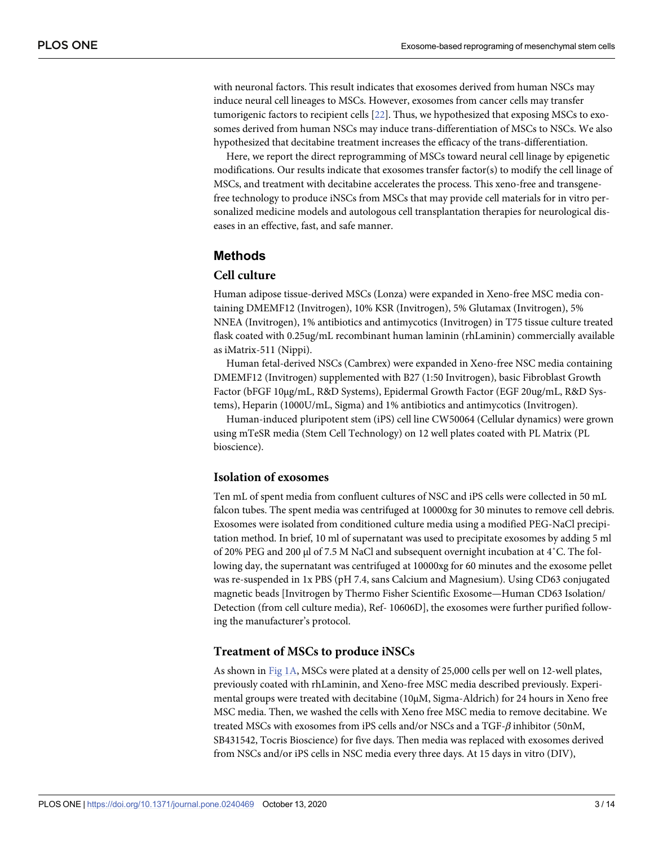<span id="page-2-0"></span>with neuronal factors. This result indicates that exosomes derived from human NSCs may induce neural cell lineages to MSCs. However, exosomes from cancer cells may transfer tumorigenic factors to recipient cells [[22](#page-13-0)]. Thus, we hypothesized that exposing MSCs to exosomes derived from human NSCs may induce trans-differentiation of MSCs to NSCs. We also hypothesized that decitabine treatment increases the efficacy of the trans-differentiation.

Here, we report the direct reprogramming of MSCs toward neural cell linage by epigenetic modifications. Our results indicate that exosomes transfer factor(s) to modify the cell linage of MSCs, and treatment with decitabine accelerates the process. This xeno-free and transgenefree technology to produce iNSCs from MSCs that may provide cell materials for in vitro personalized medicine models and autologous cell transplantation therapies for neurological diseases in an effective, fast, and safe manner.

## **Methods**

## **Cell culture**

Human adipose tissue-derived MSCs (Lonza) were expanded in Xeno-free MSC media containing DMEMF12 (Invitrogen), 10% KSR (Invitrogen), 5% Glutamax (Invitrogen), 5% NNEA (Invitrogen), 1% antibiotics and antimycotics (Invitrogen) in T75 tissue culture treated flask coated with 0.25ug/mL recombinant human laminin (rhLaminin) commercially available as iMatrix-511 (Nippi).

Human fetal-derived NSCs (Cambrex) were expanded in Xeno-free NSC media containing DMEMF12 (Invitrogen) supplemented with B27 (1:50 Invitrogen), basic Fibroblast Growth Factor (bFGF 10µg/mL, R&D Systems), Epidermal Growth Factor (EGF 20ug/mL, R&D Systems), Heparin (1000U/mL, Sigma) and 1% antibiotics and antimycotics (Invitrogen).

Human-induced pluripotent stem (iPS) cell line CW50064 (Cellular dynamics) were grown using mTeSR media (Stem Cell Technology) on 12 well plates coated with PL Matrix (PL bioscience).

#### **Isolation of exosomes**

Ten mL of spent media from confluent cultures of NSC and iPS cells were collected in 50 mL falcon tubes. The spent media was centrifuged at 10000xg for 30 minutes to remove cell debris. Exosomes were isolated from conditioned culture media using a modified PEG-NaCl precipitation method. In brief, 10 ml of supernatant was used to precipitate exosomes by adding 5 ml of 20% PEG and 200 µl of 7.5 M NaCl and subsequent overnight incubation at 4˚C. The following day, the supernatant was centrifuged at 10000xg for 60 minutes and the exosome pellet was re-suspended in 1x PBS (pH 7.4, sans Calcium and Magnesium). Using CD63 conjugated magnetic beads [Invitrogen by Thermo Fisher Scientific Exosome—Human CD63 Isolation/ Detection (from cell culture media), Ref- 10606D], the exosomes were further purified following the manufacturer's protocol.

## **Treatment of MSCs to produce iNSCs**

As shown in [Fig 1A,](#page-3-0) MSCs were plated at a density of 25,000 cells per well on 12-well plates, previously coated with rhLaminin, and Xeno-free MSC media described previously. Experimental groups were treated with decitabine (10µM, Sigma-Aldrich) for 24 hours in Xeno free MSC media. Then, we washed the cells with Xeno free MSC media to remove decitabine. We treated MSCs with exosomes from iPS cells and/or NSCs and a TGF-*β* inhibitor (50nM, SB431542, Tocris Bioscience) for five days. Then media was replaced with exosomes derived from NSCs and/or iPS cells in NSC media every three days. At 15 days in vitro (DIV),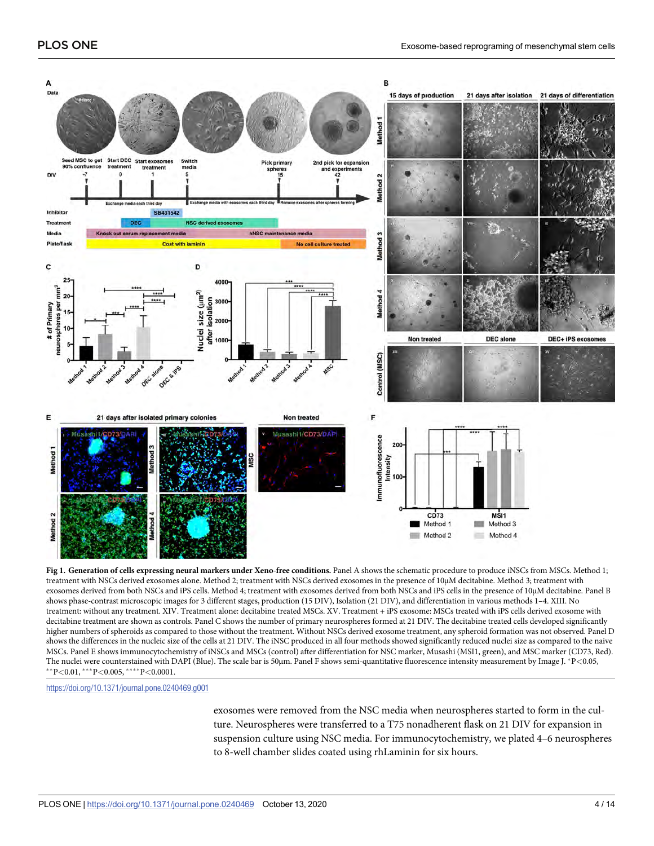<span id="page-3-0"></span>

**[Fig 1.](#page-2-0) Generation of cells expressing neural markers under Xeno-free conditions.** Panel A shows the schematic procedure to produce iNSCs from MSCs. Method 1; treatment with NSCs derived exosomes alone. Method 2; treatment with NSCs derived exosomes in the presence of 10µM decitabine. Method 3; treatment with exosomes derived from both NSCs and iPS cells. Method 4; treatment with exosomes derived from both NSCs and iPS cells in the presence of 10µM decitabine. Panel B shows phase-contrast microscopic images for 3 different stages, production (15 DIV), Isolation (21 DIV), and differentiation in various methods 1-4. XIII. No treatment: without any treatment. XIV. Treatment alone: decitabine treated MSCs. XV. Treatment + iPS exosome: MSCs treated with iPS cells derived exosome with decitabine treatment are shown as controls. Panel C shows the number of primary neurospheres formed at 21 DIV. The decitabine treated cells developed significantly higher numbers of spheroids as compared to those without the treatment. Without NSCs derived exosome treatment, any spheroid formation was not observed. Panel D shows the differences in the nucleic size of the cells at 21 DIV. The iNSC produced in all four methods showed significantly reduced nuclei size as compared to the naive MSCs. Panel E shows immunocytochemistry of iNSCs and MSCs (control) after differentiation for NSC marker, Musashi (MSI1, green), and MSC marker (CD73, Red). The nuclei were counterstained with DAPI (Blue). The scale bar is 50µm. Panel F shows semi-quantitative fluorescence intensity measurement by Image J. \*P<0.05, ��P*<*0.01, ���P*<*0.005, ����P*<*0.0001.

<https://doi.org/10.1371/journal.pone.0240469.g001>

exosomes were removed from the NSC media when neurospheres started to form in the culture. Neurospheres were transferred to a T75 nonadherent flask on 21 DIV for expansion in suspension culture using NSC media. For immunocytochemistry, we plated 4–6 neurospheres to 8-well chamber slides coated using rhLaminin for six hours.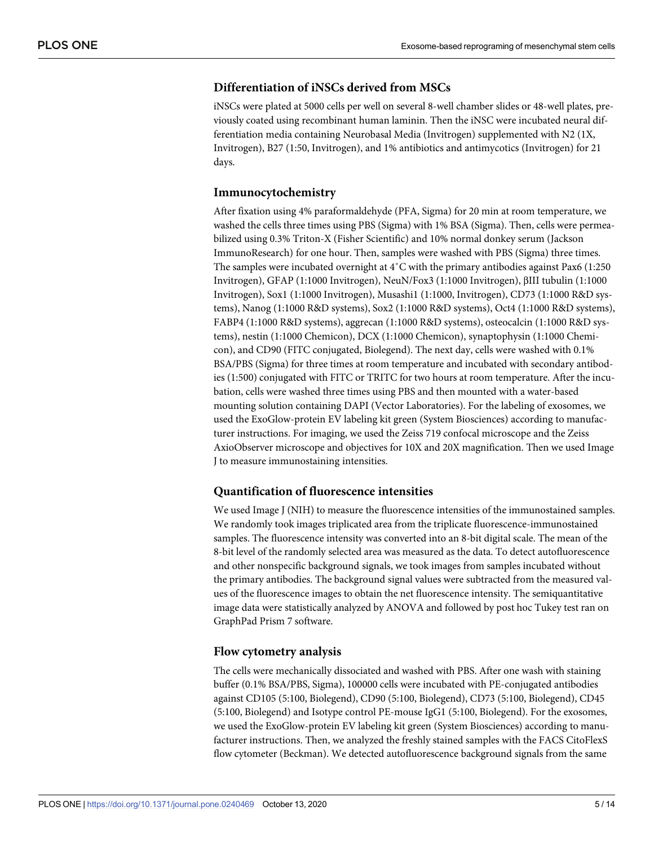## **Differentiation of iNSCs derived from MSCs**

iNSCs were plated at 5000 cells per well on several 8-well chamber slides or 48-well plates, previously coated using recombinant human laminin. Then the iNSC were incubated neural differentiation media containing Neurobasal Media (Invitrogen) supplemented with N2 (1X, Invitrogen), B27 (1:50, Invitrogen), and 1% antibiotics and antimycotics (Invitrogen) for 21 days.

#### **Immunocytochemistry**

After fixation using 4% paraformaldehyde (PFA, Sigma) for 20 min at room temperature, we washed the cells three times using PBS (Sigma) with 1% BSA (Sigma). Then, cells were permeabilized using 0.3% Triton-X (Fisher Scientific) and 10% normal donkey serum (Jackson ImmunoResearch) for one hour. Then, samples were washed with PBS (Sigma) three times. The samples were incubated overnight at 4˚C with the primary antibodies against Pax6 (1:250 Invitrogen), GFAP (1:1000 Invitrogen), NeuN/Fox3 (1:1000 Invitrogen), βIII tubulin (1:1000 Invitrogen), Sox1 (1:1000 Invitrogen), Musashi1 (1:1000, Invitrogen), CD73 (1:1000 R&D systems), Nanog (1:1000 R&D systems), Sox2 (1:1000 R&D systems), Oct4 (1:1000 R&D systems), FABP4 (1:1000 R&D systems), aggrecan (1:1000 R&D systems), osteocalcin (1:1000 R&D systems), nestin (1:1000 Chemicon), DCX (1:1000 Chemicon), synaptophysin (1:1000 Chemicon), and CD90 (FITC conjugated, Biolegend). The next day, cells were washed with 0.1% BSA/PBS (Sigma) for three times at room temperature and incubated with secondary antibodies (1:500) conjugated with FITC or TRITC for two hours at room temperature. After the incubation, cells were washed three times using PBS and then mounted with a water-based mounting solution containing DAPI (Vector Laboratories). For the labeling of exosomes, we used the ExoGlow-protein EV labeling kit green (System Biosciences) according to manufacturer instructions. For imaging, we used the Zeiss 719 confocal microscope and the Zeiss AxioObserver microscope and objectives for 10X and 20X magnification. Then we used Image J to measure immunostaining intensities.

#### **Quantification of fluorescence intensities**

We used Image J (NIH) to measure the fluorescence intensities of the immunostained samples. We randomly took images triplicated area from the triplicate fluorescence-immunostained samples. The fluorescence intensity was converted into an 8-bit digital scale. The mean of the 8-bit level of the randomly selected area was measured as the data. To detect autofluorescence and other nonspecific background signals, we took images from samples incubated without the primary antibodies. The background signal values were subtracted from the measured values of the fluorescence images to obtain the net fluorescence intensity. The semiquantitative image data were statistically analyzed by ANOVA and followed by post hoc Tukey test ran on GraphPad Prism 7 software.

#### **Flow cytometry analysis**

The cells were mechanically dissociated and washed with PBS. After one wash with staining buffer (0.1% BSA/PBS, Sigma), 100000 cells were incubated with PE-conjugated antibodies against CD105 (5:100, Biolegend), CD90 (5:100, Biolegend), CD73 (5:100, Biolegend), CD45 (5:100, Biolegend) and Isotype control PE-mouse IgG1 (5:100, Biolegend). For the exosomes, we used the ExoGlow-protein EV labeling kit green (System Biosciences) according to manufacturer instructions. Then, we analyzed the freshly stained samples with the FACS CitoFlexS flow cytometer (Beckman). We detected autofluorescence background signals from the same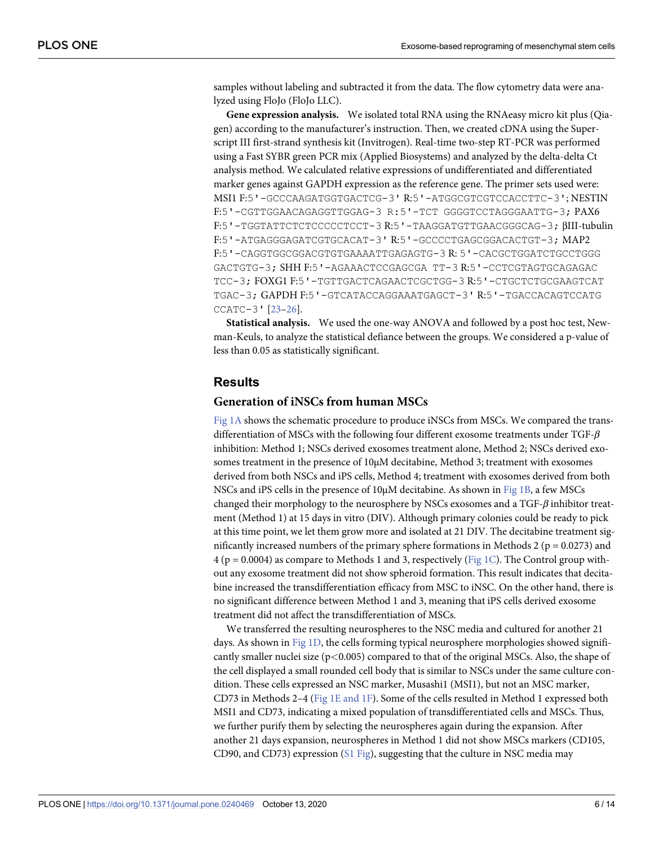<span id="page-5-0"></span>samples without labeling and subtracted it from the data. The flow cytometry data were analyzed using FloJo (FloJo LLC).

**Gene expression analysis.** We isolated total RNA using the RNAeasy micro kit plus (Qiagen) according to the manufacturer's instruction. Then, we created cDNA using the Superscript III first-strand synthesis kit (Invitrogen). Real-time two-step RT-PCR was performed using a Fast SYBR green PCR mix (Applied Biosystems) and analyzed by the delta-delta Ct analysis method. We calculated relative expressions of undifferentiated and differentiated marker genes against GAPDH expression as the reference gene. The primer sets used were: MSI1 F:5'-GCCCAAGATGGTGACTCG-3' R:5'-ATGGCGTCGTCCACCTTC-3'; NESTIN F:5'-CGTTGGAACAGAGGTTGGAG-3 R:5'-TCT GGGGTCCTAGGGAATTG-3; PAX6 F:5'-TGGTATTCTCTCCCCCTCCT-3 R:5'-TAAGGATGTTGAACGGGCAG-3; βIII-tubulin F:5'-ATGAGGGAGATCGTGCACAT-3' R:5'-GCCCCTGAGCGGACACTGT-3; MAP2 F:5'-CAGGTGGCGGACGTGTGAAAATTGAGAGTG-3 R: 5'-CACGCTGGATCTGCCTGGG GACTGTG-3; SHH F:5'-AGAAACTCCGAGCGA TT-3 R:5'-CCTCGTAGTGCAGAGAC TCC-3; FOXG1 F:5'-TGTTGACTCAGAACTCGCTGG-3 R:5'-CTGCTCTGCGAAGTCAT TGAC-3; GAPDH F:5'-GTCATACCAGGAAATGAGCT-3' R:5'-TGACCACAGTCCATG CCATC-3' [[23–26\]](#page-13-0).

**Statistical analysis.** We used the one-way ANOVA and followed by a post hoc test, Newman-Keuls, to analyze the statistical defiance between the groups. We considered a p-value of less than 0.05 as statistically significant.

#### **Results**

#### **Generation of iNSCs from human MSCs**

[Fig 1A](#page-3-0) shows the schematic procedure to produce iNSCs from MSCs. We compared the transdifferentiation of MSCs with the following four different exosome treatments under TGF-*β* inhibition: Method 1; NSCs derived exosomes treatment alone, Method 2; NSCs derived exosomes treatment in the presence of 10µM decitabine, Method 3; treatment with exosomes derived from both NSCs and iPS cells, Method 4; treatment with exosomes derived from both NSCs and iPS cells in the presence of  $10\mu$ M decitabine. As shown in [Fig 1B,](#page-3-0) a few MSCs changed their morphology to the neurosphere by NSCs exosomes and a TGF-*β* inhibitor treatment (Method 1) at 15 days in vitro (DIV). Although primary colonies could be ready to pick at this time point, we let them grow more and isolated at 21 DIV. The decitabine treatment significantly increased numbers of the primary sphere formations in Methods 2 ( $p = 0.0273$ ) and  $4 (p = 0.0004)$  as compare to Methods 1 and 3, respectively [\(Fig 1C](#page-3-0)). The Control group without any exosome treatment did not show spheroid formation. This result indicates that decitabine increased the transdifferentiation efficacy from MSC to iNSC. On the other hand, there is no significant difference between Method 1 and 3, meaning that iPS cells derived exosome treatment did not affect the transdifferentiation of MSCs.

We transferred the resulting neurospheres to the NSC media and cultured for another 21 days. As shown in [Fig 1D,](#page-3-0) the cells forming typical neurosphere morphologies showed significantly smaller nuclei size (p*<*0.005) compared to that of the original MSCs. Also, the shape of the cell displayed a small rounded cell body that is similar to NSCs under the same culture condition. These cells expressed an NSC marker, Musashi1 (MSI1), but not an MSC marker, CD73 in Methods 2–4 [\(Fig 1E and 1F\)](#page-3-0). Some of the cells resulted in Method 1 expressed both MSI1 and CD73, indicating a mixed population of transdifferentiated cells and MSCs. Thus, we further purify them by selecting the neurospheres again during the expansion. After another 21 days expansion, neurospheres in Method 1 did not show MSCs markers (CD105, CD90, and CD73) expression [\(S1 Fig\)](#page-11-0), suggesting that the culture in NSC media may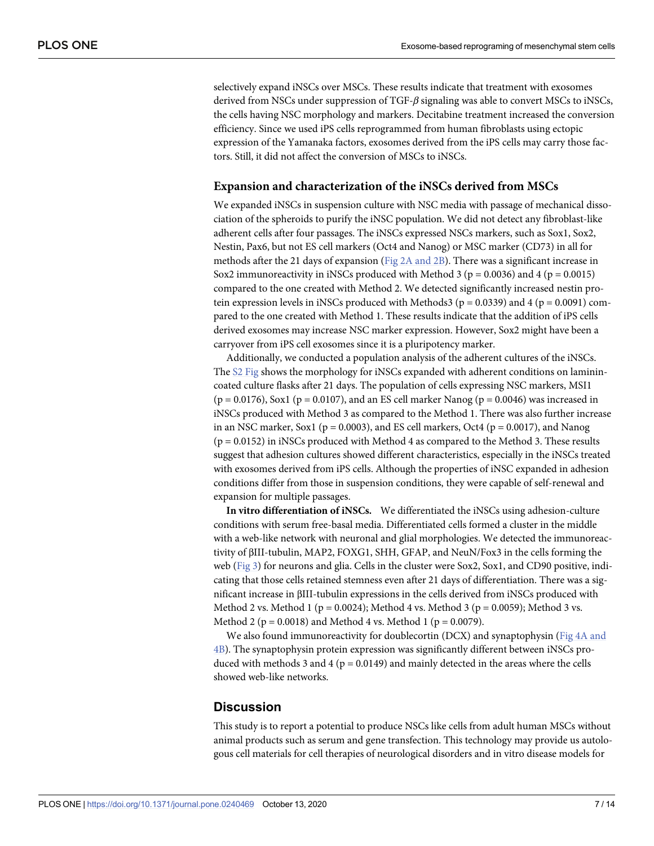<span id="page-6-0"></span>selectively expand iNSCs over MSCs. These results indicate that treatment with exosomes derived from NSCs under suppression of TGF-*β* signaling was able to convert MSCs to iNSCs, the cells having NSC morphology and markers. Decitabine treatment increased the conversion efficiency. Since we used iPS cells reprogrammed from human fibroblasts using ectopic expression of the Yamanaka factors, exosomes derived from the iPS cells may carry those factors. Still, it did not affect the conversion of MSCs to iNSCs.

#### **Expansion and characterization of the iNSCs derived from MSCs**

We expanded iNSCs in suspension culture with NSC media with passage of mechanical dissociation of the spheroids to purify the iNSC population. We did not detect any fibroblast-like adherent cells after four passages. The iNSCs expressed NSCs markers, such as Sox1, Sox2, Nestin, Pax6, but not ES cell markers (Oct4 and Nanog) or MSC marker (CD73) in all for methods after the 21 days of expansion [\(Fig 2A and 2B\)](#page-8-0). There was a significant increase in Sox2 immunoreactivity in iNSCs produced with Method 3 ( $p = 0.0036$ ) and 4 ( $p = 0.0015$ ) compared to the one created with Method 2. We detected significantly increased nestin protein expression levels in iNSCs produced with Methods3 ( $p = 0.0339$ ) and 4 ( $p = 0.0091$ ) compared to the one created with Method 1. These results indicate that the addition of iPS cells derived exosomes may increase NSC marker expression. However, Sox2 might have been a carryover from iPS cell exosomes since it is a pluripotency marker.

Additionally, we conducted a population analysis of the adherent cultures of the iNSCs. The [S2 Fig](#page-11-0) shows the morphology for iNSCs expanded with adherent conditions on laminincoated culture flasks after 21 days. The population of cells expressing NSC markers, MSI1  $(p = 0.0176)$ , Sox1 (p = 0.0107), and an ES cell marker Nanog (p = 0.0046) was increased in iNSCs produced with Method 3 as compared to the Method 1. There was also further increase in an NSC marker, Sox1 ( $p = 0.0003$ ), and ES cell markers, Oct4 ( $p = 0.0017$ ), and Nanog  $(p = 0.0152)$  in iNSCs produced with Method 4 as compared to the Method 3. These results suggest that adhesion cultures showed different characteristics, especially in the iNSCs treated with exosomes derived from iPS cells. Although the properties of iNSC expanded in adhesion conditions differ from those in suspension conditions, they were capable of self-renewal and expansion for multiple passages.

**In vitro differentiation of iNSCs.** We differentiated the iNSCs using adhesion-culture conditions with serum free-basal media. Differentiated cells formed a cluster in the middle with a web-like network with neuronal and glial morphologies. We detected the immunoreactivity of βIII-tubulin, MAP2, FOXG1, SHH, GFAP, and NeuN/Fox3 in the cells forming the web ([Fig 3](#page-8-0)) for neurons and glia. Cells in the cluster were Sox2, Sox1, and CD90 positive, indicating that those cells retained stemness even after 21 days of differentiation. There was a significant increase in βIII-tubulin expressions in the cells derived from iNSCs produced with Method 2 vs. Method 1 ( $p = 0.0024$ ); Method 4 vs. Method 3 ( $p = 0.0059$ ); Method 3 vs. Method 2 ( $p = 0.0018$ ) and Method 4 vs. Method 1 ( $p = 0.0079$ ).

We also found immunoreactivity for doublecortin (DCX) and synaptophysin [\(Fig 4A and](#page-9-0) [4B\)](#page-9-0). The synaptophysin protein expression was significantly different between iNSCs produced with methods 3 and 4 ( $p = 0.0149$ ) and mainly detected in the areas where the cells showed web-like networks.

#### **Discussion**

This study is to report a potential to produce NSCs like cells from adult human MSCs without animal products such as serum and gene transfection. This technology may provide us autologous cell materials for cell therapies of neurological disorders and in vitro disease models for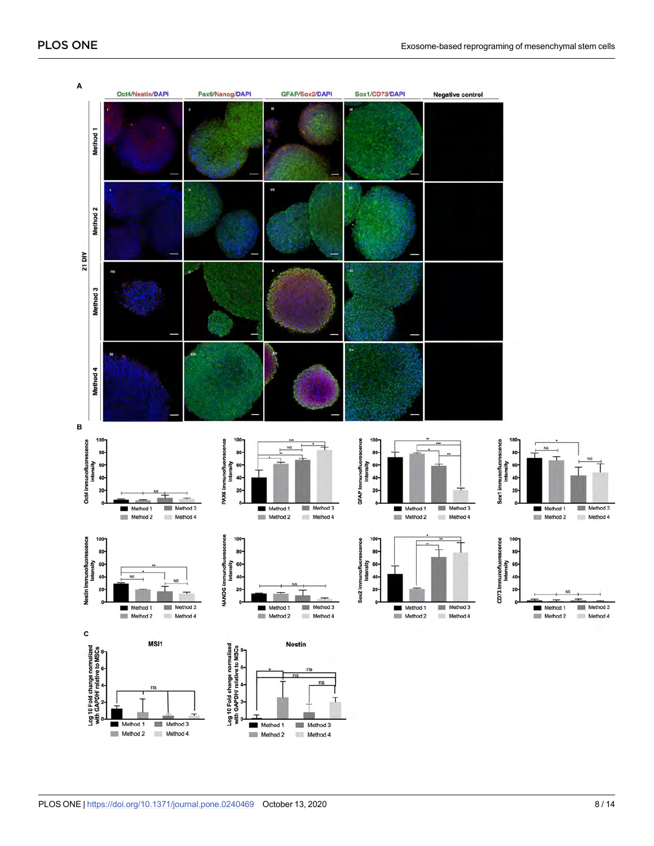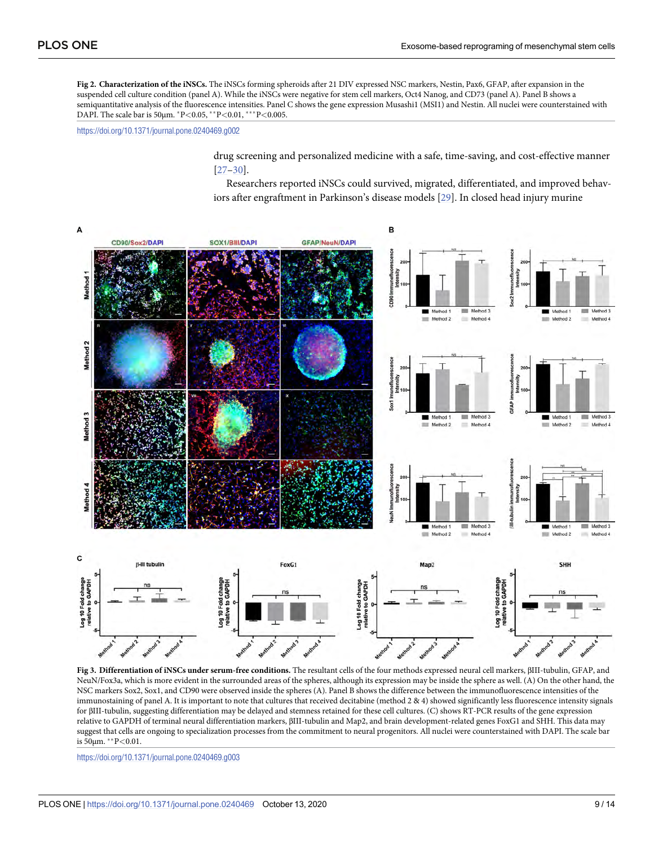<span id="page-8-0"></span>**[Fig 2. C](#page-6-0)haracterization of the iNSCs.** The iNSCs forming spheroids after 21 DIV expressed NSC markers, Nestin, Pax6, GFAP, after expansion in the suspended cell culture condition (panel A). While the iNSCs were negative for stem cell markers, Oct4 Nanog, and CD73 (panel A). Panel B shows a semiquantitative analysis of the fluorescence intensities. Panel C shows the gene expression Musashi1 (MSI1) and Nestin. All nuclei were counterstained with DAPI. The scale bar is 50µm. �P*<*0.05, ��P*<*0.01, ���P*<*0.005.

<https://doi.org/10.1371/journal.pone.0240469.g002>

drug screening and personalized medicine with a safe, time-saving, and cost-effective manner [\[27–30\]](#page-13-0).

Researchers reported iNSCs could survived, migrated, differentiated, and improved behaviors after engraftment in Parkinson's disease models [[29](#page-13-0)]. In closed head injury murine



**[Fig 3. D](#page-6-0)ifferentiation of iNSCs under serum-free conditions.** The resultant cells of the four methods expressed neural cell markers, βIII-tubulin, GFAP, and NeuN/Fox3a, which is more evident in the surrounded areas of the spheres, although its expression may be inside the sphere as well. (A) On the other hand, the NSC markers Sox2, Sox1, and CD90 were observed inside the spheres (A). Panel B shows the difference between the immunofluorescence intensities of the immunostaining of panel A. It is important to note that cultures that received decitabine (method 2 & 4) showed significantly less fluorescence intensity signals for βIII-tubulin, suggesting differentiation may be delayed and stemness retained for these cell cultures. (C) shows RT-PCR results of the gene expression relative to GAPDH of terminal neural differentiation markers, βIII-tubulin and Map2, and brain development-related genes FoxG1 and SHH. This data may suggest that cells are ongoing to specialization processes from the commitment to neural progenitors. All nuclei were counterstained with DAPI. The scale bar is 50µm. ��P*<*0.01.

<https://doi.org/10.1371/journal.pone.0240469.g003>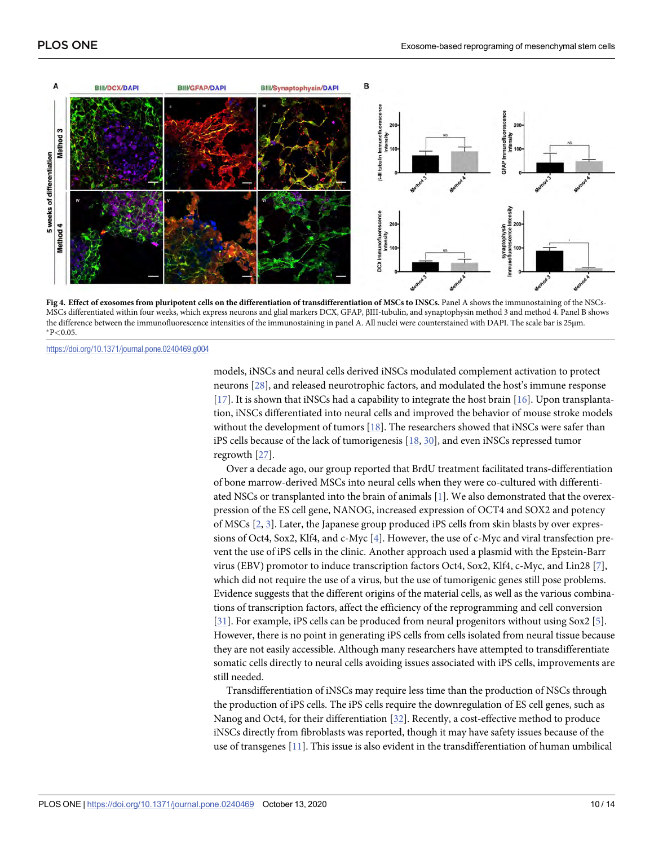<span id="page-9-0"></span>

**[Fig 4.](#page-6-0) Effect of exosomes from pluripotent cells on the differentiation of transdifferentiation of MSCs to INSCs.** Panel A shows the immunostaining of the NSCs-MSCs differentiated within four weeks, which express neurons and glial markers DCX, GFAP, βIII-tubulin, and synaptophysin method 3 and method 4. Panel B shows the difference between the immunofluorescence intensities of the immunostaining in panel A. All nuclei were counterstained with DAPI. The scale bar is 25µm. �P*<*0.05.

<https://doi.org/10.1371/journal.pone.0240469.g004>

models, iNSCs and neural cells derived iNSCs modulated complement activation to protect neurons [\[28\]](#page-13-0), and released neurotrophic factors, and modulated the host's immune response [\[17\]](#page-13-0). It is shown that iNSCs had a capability to integrate the host brain [\[16\]](#page-13-0). Upon transplantation, iNSCs differentiated into neural cells and improved the behavior of mouse stroke models without the development of tumors  $[18]$  $[18]$  $[18]$ . The researchers showed that iNSCs were safer than iPS cells because of the lack of tumorigenesis [[18](#page-13-0), [30](#page-13-0)], and even iNSCs repressed tumor regrowth [\[27\]](#page-13-0).

Over a decade ago, our group reported that BrdU treatment facilitated trans-differentiation of bone marrow-derived MSCs into neural cells when they were co-cultured with differentiated NSCs or transplanted into the brain of animals [[1\]](#page-12-0). We also demonstrated that the overexpression of the ES cell gene, NANOG, increased expression of OCT4 and SOX2 and potency of MSCs [[2](#page-12-0), [3\]](#page-12-0). Later, the Japanese group produced iPS cells from skin blasts by over expressions of Oct4, Sox2, Klf4, and c-Myc [\[4\]](#page-12-0). However, the use of c-Myc and viral transfection prevent the use of iPS cells in the clinic. Another approach used a plasmid with the Epstein-Barr virus (EBV) promotor to induce transcription factors Oct4, Sox2, Klf4, c-Myc, and Lin28 [\[7](#page-12-0)], which did not require the use of a virus, but the use of tumorigenic genes still pose problems. Evidence suggests that the different origins of the material cells, as well as the various combinations of transcription factors, affect the efficiency of the reprogramming and cell conversion [\[31\]](#page-13-0). For example, iPS cells can be produced from neural progenitors without using Sox2 [[5\]](#page-12-0). However, there is no point in generating iPS cells from cells isolated from neural tissue because they are not easily accessible. Although many researchers have attempted to transdifferentiate somatic cells directly to neural cells avoiding issues associated with iPS cells, improvements are still needed.

Transdifferentiation of iNSCs may require less time than the production of NSCs through the production of iPS cells. The iPS cells require the downregulation of ES cell genes, such as Nanog and Oct4, for their differentiation [\[32\]](#page-13-0). Recently, a cost-effective method to produce iNSCs directly from fibroblasts was reported, though it may have safety issues because of the use of transgenes [\[11\]](#page-12-0). This issue is also evident in the transdifferentiation of human umbilical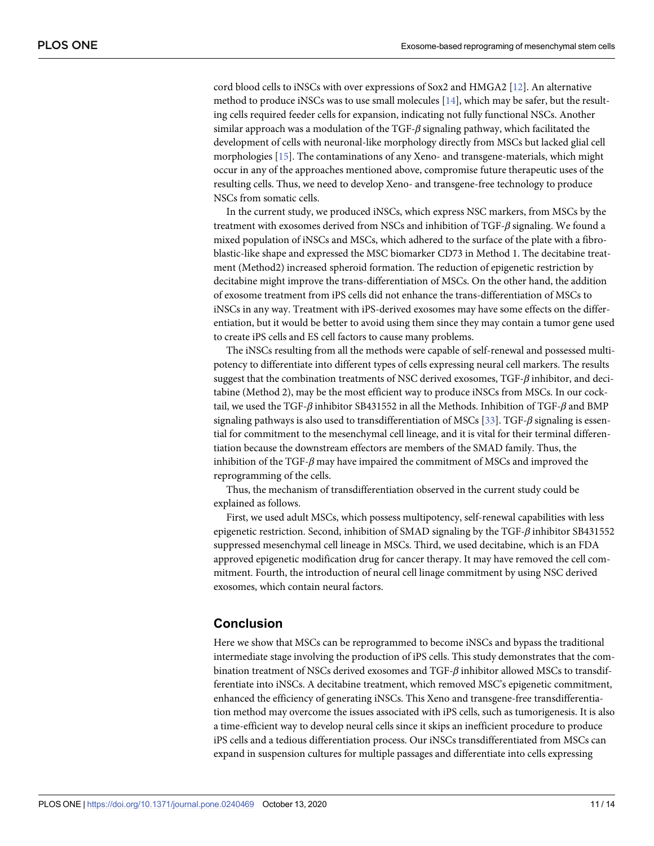<span id="page-10-0"></span>cord blood cells to iNSCs with over expressions of Sox2 and HMGA2 [\[12\]](#page-12-0). An alternative method to produce iNSCs was to use small molecules [\[14\]](#page-12-0), which may be safer, but the resulting cells required feeder cells for expansion, indicating not fully functional NSCs. Another similar approach was a modulation of the TGF-*β* signaling pathway, which facilitated the development of cells with neuronal-like morphology directly from MSCs but lacked glial cell morphologies [[15](#page-12-0)]. The contaminations of any Xeno- and transgene-materials, which might occur in any of the approaches mentioned above, compromise future therapeutic uses of the resulting cells. Thus, we need to develop Xeno- and transgene-free technology to produce NSCs from somatic cells.

In the current study, we produced iNSCs, which express NSC markers, from MSCs by the treatment with exosomes derived from NSCs and inhibition of TGF-*β* signaling. We found a mixed population of iNSCs and MSCs, which adhered to the surface of the plate with a fibroblastic-like shape and expressed the MSC biomarker CD73 in Method 1. The decitabine treatment (Method2) increased spheroid formation. The reduction of epigenetic restriction by decitabine might improve the trans-differentiation of MSCs. On the other hand, the addition of exosome treatment from iPS cells did not enhance the trans-differentiation of MSCs to iNSCs in any way. Treatment with iPS-derived exosomes may have some effects on the differentiation, but it would be better to avoid using them since they may contain a tumor gene used to create iPS cells and ES cell factors to cause many problems.

The iNSCs resulting from all the methods were capable of self-renewal and possessed multipotency to differentiate into different types of cells expressing neural cell markers. The results suggest that the combination treatments of NSC derived exosomes, TGF-*β* inhibitor, and decitabine (Method 2), may be the most efficient way to produce iNSCs from MSCs. In our cocktail, we used the TGF-*β* inhibitor SB431552 in all the Methods. Inhibition of TGF-*β* and BMP signaling pathways is also used to transdifferentiation of MSCs [\[33\]](#page-13-0). TGF-*β* signaling is essential for commitment to the mesenchymal cell lineage, and it is vital for their terminal differentiation because the downstream effectors are members of the SMAD family. Thus, the inhibition of the TGF- $\beta$  may have impaired the commitment of MSCs and improved the reprogramming of the cells.

Thus, the mechanism of transdifferentiation observed in the current study could be explained as follows.

First, we used adult MSCs, which possess multipotency, self-renewal capabilities with less epigenetic restriction. Second, inhibition of SMAD signaling by the TGF-*β* inhibitor SB431552 suppressed mesenchymal cell lineage in MSCs. Third, we used decitabine, which is an FDA approved epigenetic modification drug for cancer therapy. It may have removed the cell commitment. Fourth, the introduction of neural cell linage commitment by using NSC derived exosomes, which contain neural factors.

## **Conclusion**

Here we show that MSCs can be reprogrammed to become iNSCs and bypass the traditional intermediate stage involving the production of iPS cells. This study demonstrates that the combination treatment of NSCs derived exosomes and TGF-*β* inhibitor allowed MSCs to transdifferentiate into iNSCs. A decitabine treatment, which removed MSC's epigenetic commitment, enhanced the efficiency of generating iNSCs. This Xeno and transgene-free transdifferentiation method may overcome the issues associated with iPS cells, such as tumorigenesis. It is also a time-efficient way to develop neural cells since it skips an inefficient procedure to produce iPS cells and a tedious differentiation process. Our iNSCs transdifferentiated from MSCs can expand in suspension cultures for multiple passages and differentiate into cells expressing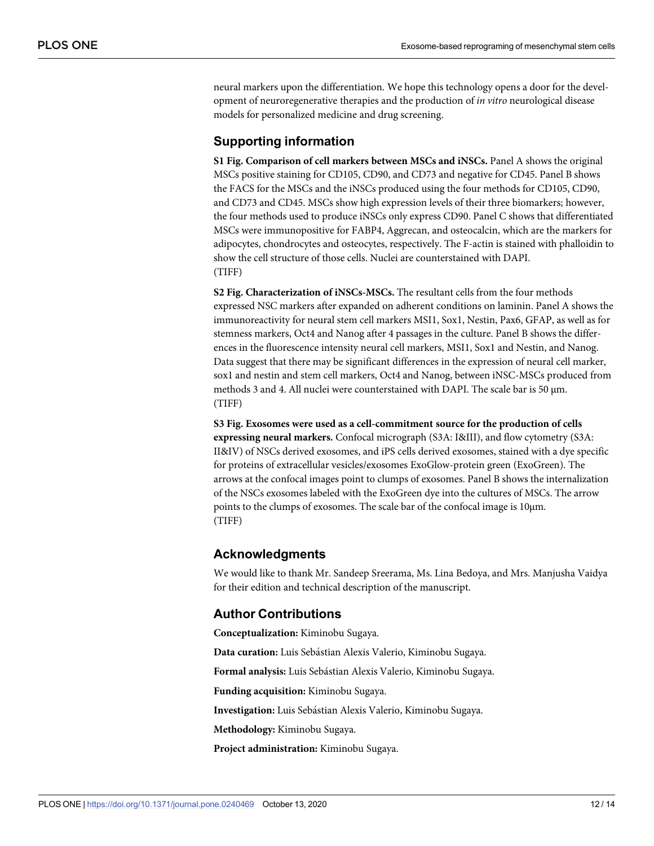<span id="page-11-0"></span>neural markers upon the differentiation. We hope this technology opens a door for the development of neuroregenerative therapies and the production of *in vitro* neurological disease models for personalized medicine and drug screening.

## **Supporting information**

**[S1 Fig](http://www.plosone.org/article/fetchSingleRepresentation.action?uri=info:doi/10.1371/journal.pone.0240469.s001). Comparison of cell markers between MSCs and iNSCs.** Panel A shows the original MSCs positive staining for CD105, CD90, and CD73 and negative for CD45. Panel B shows the FACS for the MSCs and the iNSCs produced using the four methods for CD105, CD90, and CD73 and CD45. MSCs show high expression levels of their three biomarkers; however, the four methods used to produce iNSCs only express CD90. Panel C shows that differentiated MSCs were immunopositive for FABP4, Aggrecan, and osteocalcin, which are the markers for adipocytes, chondrocytes and osteocytes, respectively. The F-actin is stained with phalloidin to show the cell structure of those cells. Nuclei are counterstained with DAPI. (TIFF)

**[S2 Fig](http://www.plosone.org/article/fetchSingleRepresentation.action?uri=info:doi/10.1371/journal.pone.0240469.s002). Characterization of iNSCs-MSCs.** The resultant cells from the four methods expressed NSC markers after expanded on adherent conditions on laminin. Panel A shows the immunoreactivity for neural stem cell markers MSI1, Sox1, Nestin, Pax6, GFAP, as well as for stemness markers, Oct4 and Nanog after 4 passages in the culture. Panel B shows the differences in the fluorescence intensity neural cell markers, MSI1, Sox1 and Nestin, and Nanog. Data suggest that there may be significant differences in the expression of neural cell marker, sox1 and nestin and stem cell markers, Oct4 and Nanog, between iNSC-MSCs produced from methods 3 and 4. All nuclei were counterstained with DAPI. The scale bar is 50  $\mu$ m. (TIFF)

**[S3 Fig](http://www.plosone.org/article/fetchSingleRepresentation.action?uri=info:doi/10.1371/journal.pone.0240469.s003). Exosomes were used as a cell-commitment source for the production of cells expressing neural markers.** Confocal micrograph (S3A: I&III), and flow cytometry (S3A: II&IV) of NSCs derived exosomes, and iPS cells derived exosomes, stained with a dye specific for proteins of extracellular vesicles/exosomes ExoGlow-protein green (ExoGreen). The arrows at the confocal images point to clumps of exosomes. Panel B shows the internalization of the NSCs exosomes labeled with the ExoGreen dye into the cultures of MSCs. The arrow points to the clumps of exosomes. The scale bar of the confocal image is  $10 \mu m$ . (TIFF)

## **Acknowledgments**

We would like to thank Mr. Sandeep Sreerama, Ms. Lina Bedoya, and Mrs. Manjusha Vaidya for their edition and technical description of the manuscript.

## **Author Contributions**

**Conceptualization:** Kiminobu Sugaya. **Data curation:** Luis Sebástian Alexis Valerio, Kiminobu Sugaya. **Formal analysis:** Luis Sebástian Alexis Valerio, Kiminobu Sugaya. **Funding acquisition:** Kiminobu Sugaya. Investigation: Luis Sebástian Alexis Valerio, Kiminobu Sugaya. **Methodology:** Kiminobu Sugaya. **Project administration:** Kiminobu Sugaya.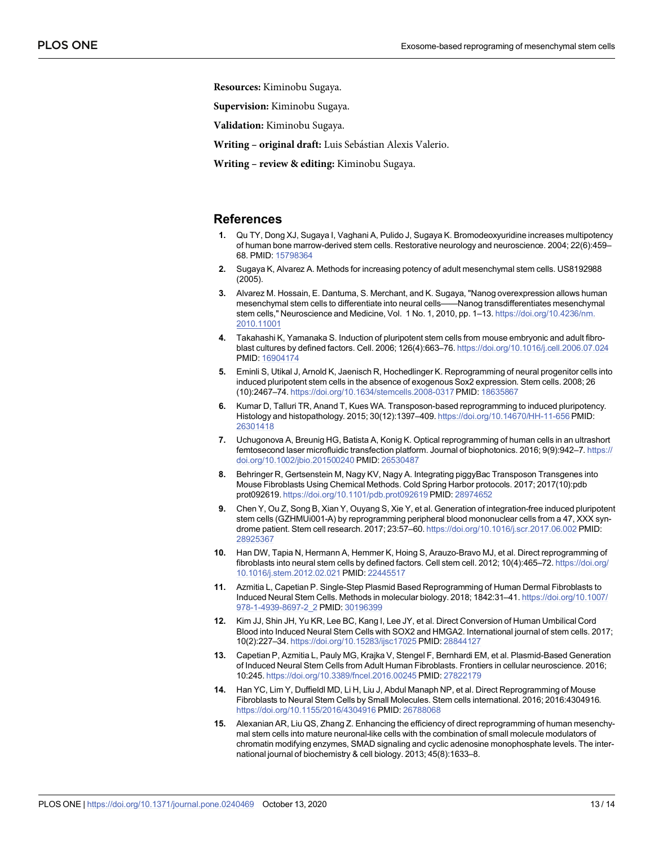<span id="page-12-0"></span>**Resources:** Kiminobu Sugaya.

**Supervision:** Kiminobu Sugaya.

**Validation:** Kiminobu Sugaya.

**Writing – original draft:** Luis Sebástian Alexis Valerio.

**Writing – review & editing:** Kiminobu Sugaya.

#### **References**

- **[1](#page-1-0).** Qu TY, Dong XJ, Sugaya I, Vaghani A, Pulido J, Sugaya K. Bromodeoxyuridine increases multipotency of human bone marrow-derived stem cells. Restorative neurology and neuroscience. 2004; 22(6):459– 68. PMID: [15798364](http://www.ncbi.nlm.nih.gov/pubmed/15798364)
- **[2](#page-1-0).** Sugaya K, Alvarez A. Methods for increasing potency of adult mesenchymal stem cells. US8192988 (2005).
- **[3](#page-1-0).** Alvarez M. Hossain, E. Dantuma, S. Merchant, and K. Sugaya, "Nanog overexpression allows human mesenchymal stem cells to differentiate into neural cells——Nanog transdifferentiates mesenchymal stem cells," Neuroscience and Medicine, Vol. 1 No. 1, 2010, pp. 1–13. [https://doi.org/10.4236/nm.](https://doi.org/10.4236/nm.2010.11001) [2010.11001](https://doi.org/10.4236/nm.2010.11001)
- **[4](#page-1-0).** Takahashi K, Yamanaka S. Induction of pluripotent stem cells from mouse embryonic and adult fibroblast cultures by defined factors. Cell. 2006; 126(4):663–76. <https://doi.org/10.1016/j.cell.2006.07.024> PMID: [16904174](http://www.ncbi.nlm.nih.gov/pubmed/16904174)
- **[5](#page-1-0).** Eminli S, Utikal J, Arnold K, Jaenisch R, Hochedlinger K. Reprogramming of neural progenitor cells into induced pluripotent stem cells in the absence of exogenous Sox2 expression. Stem cells. 2008; 26 (10):2467–74. <https://doi.org/10.1634/stemcells.2008-0317>PMID: [18635867](http://www.ncbi.nlm.nih.gov/pubmed/18635867)
- **6.** Kumar D, Talluri TR, Anand T, Kues WA. Transposon-based reprogramming to induced pluripotency. Histology and histopathology. 2015; 30(12):1397–409. <https://doi.org/10.14670/HH-11-656> PMID: [26301418](http://www.ncbi.nlm.nih.gov/pubmed/26301418)
- **[7](#page-9-0).** Uchugonova A, Breunig HG, Batista A, Konig K. Optical reprogramming of human cells in an ultrashort femtosecond laser microfluidic transfection platform. Journal of biophotonics. 2016; 9(9):942–7. [https://](https://doi.org/10.1002/jbio.201500240) [doi.org/10.1002/jbio.201500240](https://doi.org/10.1002/jbio.201500240) PMID: [26530487](http://www.ncbi.nlm.nih.gov/pubmed/26530487)
- **8.** Behringer R, Gertsenstein M, Nagy KV, Nagy A. Integrating piggyBac Transposon Transgenes into Mouse Fibroblasts Using Chemical Methods. Cold Spring Harbor protocols. 2017; 2017(10):pdb prot092619. <https://doi.org/10.1101/pdb.prot092619> PMID: [28974652](http://www.ncbi.nlm.nih.gov/pubmed/28974652)
- **[9](#page-1-0).** Chen Y, Ou Z, Song B, Xian Y, Ouyang S, Xie Y, et al. Generation of integration-free induced pluripotent stem cells (GZHMUi001-A) by reprogramming peripheral blood mononuclear cells from a 47, XXX syndrome patient. Stem cell research. 2017; 23:57–60. <https://doi.org/10.1016/j.scr.2017.06.002> PMID: [28925367](http://www.ncbi.nlm.nih.gov/pubmed/28925367)
- **[10](#page-1-0).** Han DW, Tapia N, Hermann A, Hemmer K, Hoing S, Arauzo-Bravo MJ, et al. Direct reprogramming of fibroblasts into neural stem cells by defined factors. Cell stem cell. 2012; 10(4):465–72. [https://doi.org/](https://doi.org/10.1016/j.stem.2012.02.021) [10.1016/j.stem.2012.02.021](https://doi.org/10.1016/j.stem.2012.02.021) PMID: [22445517](http://www.ncbi.nlm.nih.gov/pubmed/22445517)
- **[11](#page-9-0).** Azmitia L, Capetian P. Single-Step Plasmid Based Reprogramming of Human Dermal Fibroblasts to Induced Neural Stem Cells. Methods in molecular biology. 2018; 1842:31–41. [https://doi.org/10.1007/](https://doi.org/10.1007/978-1-4939-8697-2%5F2) [978-1-4939-8697-2\\_2](https://doi.org/10.1007/978-1-4939-8697-2%5F2) PMID: [30196399](http://www.ncbi.nlm.nih.gov/pubmed/30196399)
- **[12](#page-10-0).** Kim JJ, Shin JH, Yu KR, Lee BC, Kang I, Lee JY, et al. Direct Conversion of Human Umbilical Cord Blood into Induced Neural Stem Cells with SOX2 and HMGA2. International journal of stem cells. 2017; 10(2):227–34. <https://doi.org/10.15283/ijsc17025> PMID: [28844127](http://www.ncbi.nlm.nih.gov/pubmed/28844127)
- **13.** Capetian P, Azmitia L, Pauly MG, Krajka V, Stengel F, Bernhardi EM, et al. Plasmid-Based Generation of Induced Neural Stem Cells from Adult Human Fibroblasts. Frontiers in cellular neuroscience. 2016; 10:245. <https://doi.org/10.3389/fncel.2016.00245> PMID: [27822179](http://www.ncbi.nlm.nih.gov/pubmed/27822179)
- **[14](#page-10-0).** Han YC, Lim Y, Duffieldl MD, Li H, Liu J, Abdul Manaph NP, et al. Direct Reprogramming of Mouse Fibroblasts to Neural Stem Cells by Small Molecules. Stem cells international. 2016; 2016:4304916. <https://doi.org/10.1155/2016/4304916> PMID: [26788068](http://www.ncbi.nlm.nih.gov/pubmed/26788068)
- **[15](#page-1-0).** Alexanian AR, Liu QS, Zhang Z. Enhancing the efficiency of direct reprogramming of human mesenchymal stem cells into mature neuronal-like cells with the combination of small molecule modulators of chromatin modifying enzymes, SMAD signaling and cyclic adenosine monophosphate levels. The international journal of biochemistry & cell biology. 2013; 45(8):1633–8.